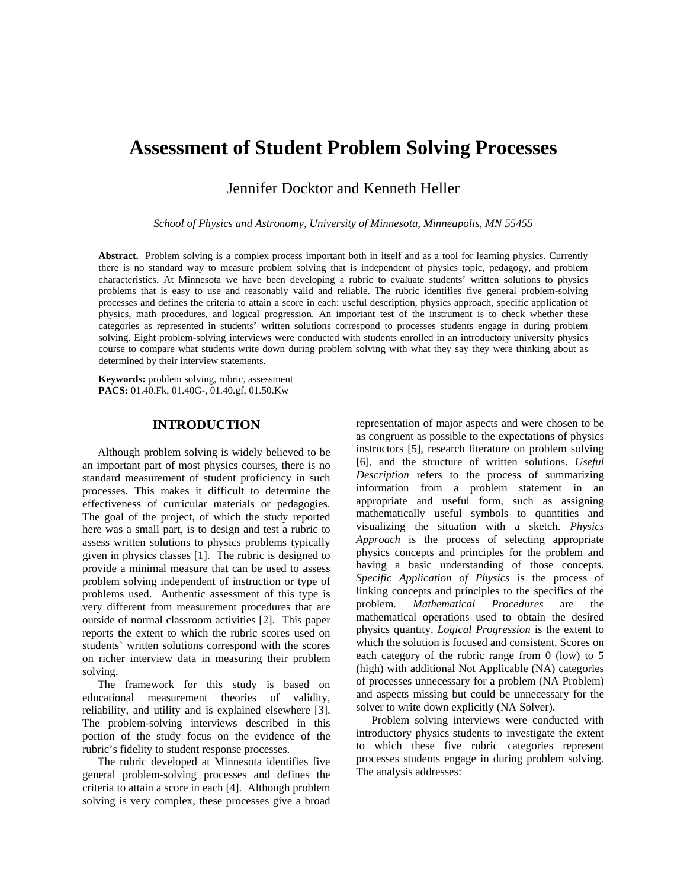# **Assessment of Student Problem Solving Processes**

Jennifer Docktor and Kenneth Heller

*School of Physics and Astronomy, University of Minnesota, Minneapolis, MN 55455* 

**Abstract.** Problem solving is a complex process important both in itself and as a tool for learning physics. Currently there is no standard way to measure problem solving that is independent of physics topic, pedagogy, and problem characteristics. At Minnesota we have been developing a rubric to evaluate students' written solutions to physics problems that is easy to use and reasonably valid and reliable. The rubric identifies five general problem-solving processes and defines the criteria to attain a score in each: useful description, physics approach, specific application of physics, math procedures, and logical progression. An important test of the instrument is to check whether these categories as represented in students' written solutions correspond to processes students engage in during problem solving. Eight problem-solving interviews were conducted with students enrolled in an introductory university physics course to compare what students write down during problem solving with what they say they were thinking about as determined by their interview statements.

**Keywords:** problem solving, rubric, assessment **PACS:** 01.40.Fk, 01.40G-, 01.40.gf, 01.50.Kw

# **INTRODUCTION**

Although problem solving is widely believed to be an important part of most physics courses, there is no standard measurement of student proficiency in such processes. This makes it difficult to determine the effectiveness of curricular materials or pedagogies. The goal of the project, of which the study reported here was a small part, is to design and test a rubric to assess written solutions to physics problems typically given in physics classes [1]. The rubric is designed to provide a minimal measure that can be used to assess problem solving independent of instruction or type of problems used. Authentic assessment of this type is very different from measurement procedures that are outside of normal classroom activities [2]. This paper reports the extent to which the rubric scores used on students' written solutions correspond with the scores on richer interview data in measuring their problem solving.

The framework for this study is based on educational measurement theories of validity, reliability, and utility and is explained elsewhere [3]. The problem-solving interviews described in this portion of the study focus on the evidence of the rubric's fidelity to student response processes.

The rubric developed at Minnesota identifies five general problem-solving processes and defines the criteria to attain a score in each [4]. Although problem solving is very complex, these processes give a broad

representation of major aspects and were chosen to be as congruent as possible to the expectations of physics instructors [5], research literature on problem solving [6], and the structure of written solutions. *Useful Description* refers to the process of summarizing information from a problem statement in an appropriate and useful form, such as assigning mathematically useful symbols to quantities and visualizing the situation with a sketch. *Physics Approach* is the process of selecting appropriate physics concepts and principles for the problem and having a basic understanding of those concepts. *Specific Application of Physics* is the process of linking concepts and principles to the specifics of the problem. *Mathematical Procedures* are the mathematical operations used to obtain the desired physics quantity. *Logical Progression* is the extent to which the solution is focused and consistent. Scores on each category of the rubric range from 0 (low) to 5 (high) with additional Not Applicable (NA) categories of processes unnecessary for a problem (NA Problem) and aspects missing but could be unnecessary for the solver to write down explicitly (NA Solver).

Problem solving interviews were conducted with introductory physics students to investigate the extent to which these five rubric categories represent processes students engage in during problem solving. The analysis addresses: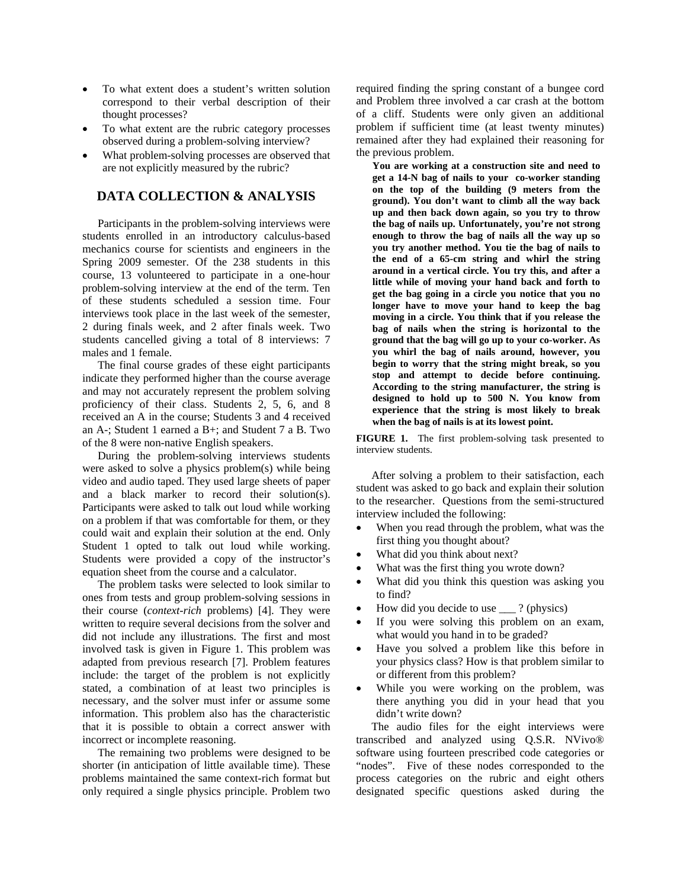- To what extent does a student's written solution correspond to their verbal description of their thought processes?
- To what extent are the rubric category processes observed during a problem-solving interview?
- What problem-solving processes are observed that are not explicitly measured by the rubric?

## **DATA COLLECTION & ANALYSIS**

Participants in the problem-solving interviews were students enrolled in an introductory calculus-based mechanics course for scientists and engineers in the Spring 2009 semester. Of the 238 students in this course, 13 volunteered to participate in a one-hour problem-solving interview at the end of the term. Ten of these students scheduled a session time. Four interviews took place in the last week of the semester, 2 during finals week, and 2 after finals week. Two students cancelled giving a total of 8 interviews: 7 males and 1 female.

The final course grades of these eight participants indicate they performed higher than the course average and may not accurately represent the problem solving proficiency of their class. Students 2, 5, 6, and 8 received an A in the course; Students 3 and 4 received an A-; Student 1 earned a B+; and Student 7 a B. Two of the 8 were non-native English speakers.

During the problem-solving interviews students were asked to solve a physics problem(s) while being video and audio taped. They used large sheets of paper and a black marker to record their solution(s). Participants were asked to talk out loud while working on a problem if that was comfortable for them, or they could wait and explain their solution at the end. Only Student 1 opted to talk out loud while working. Students were provided a copy of the instructor's equation sheet from the course and a calculator.

The problem tasks were selected to look similar to ones from tests and group problem-solving sessions in their course (*context-rich* problems) [4]. They were written to require several decisions from the solver and did not include any illustrations. The first and most involved task is given in Figure 1. This problem was adapted from previous research [7]. Problem features include: the target of the problem is not explicitly stated, a combination of at least two principles is necessary, and the solver must infer or assume some information. This problem also has the characteristic that it is possible to obtain a correct answer with incorrect or incomplete reasoning.

The remaining two problems were designed to be shorter (in anticipation of little available time). These problems maintained the same context-rich format but only required a single physics principle. Problem two

required finding the spring constant of a bungee cord and Problem three involved a car crash at the bottom of a cliff. Students were only given an additional problem if sufficient time (at least twenty minutes) remained after they had explained their reasoning for the previous problem.

**You are working at a construction site and need to get a 14-N bag of nails to your co-worker standing on the top of the building (9 meters from the ground). You don't want to climb all the way back up and then back down again, so you try to throw the bag of nails up. Unfortunately, you're not strong enough to throw the bag of nails all the way up so you try another method. You tie the bag of nails to the end of a 65-cm string and whirl the string around in a vertical circle. You try this, and after a little while of moving your hand back and forth to get the bag going in a circle you notice that you no longer have to move your hand to keep the bag moving in a circle. You think that if you release the bag of nails when the string is horizontal to the ground that the bag will go up to your co-worker. As you whirl the bag of nails around, however, you begin to worry that the string might break, so you stop and attempt to decide before continuing. According to the string manufacturer, the string is designed to hold up to 500 N. You know from experience that the string is most likely to break when the bag of nails is at its lowest point.** 

**FIGURE 1.** The first problem-solving task presented to interview students.

After solving a problem to their satisfaction, each student was asked to go back and explain their solution to the researcher. Questions from the semi-structured interview included the following:

- When you read through the problem, what was the first thing you thought about?
- What did you think about next?
- What was the first thing you wrote down?
- What did you think this question was asking you to find?
- How did you decide to use \_\_\_ ? (physics)
- If you were solving this problem on an exam, what would you hand in to be graded?
- Have you solved a problem like this before in your physics class? How is that problem similar to or different from this problem?
- While you were working on the problem, was there anything you did in your head that you didn't write down?

The audio files for the eight interviews were transcribed and analyzed using Q.S.R. NVivo® software using fourteen prescribed code categories or "nodes". Five of these nodes corresponded to the process categories on the rubric and eight others designated specific questions asked during the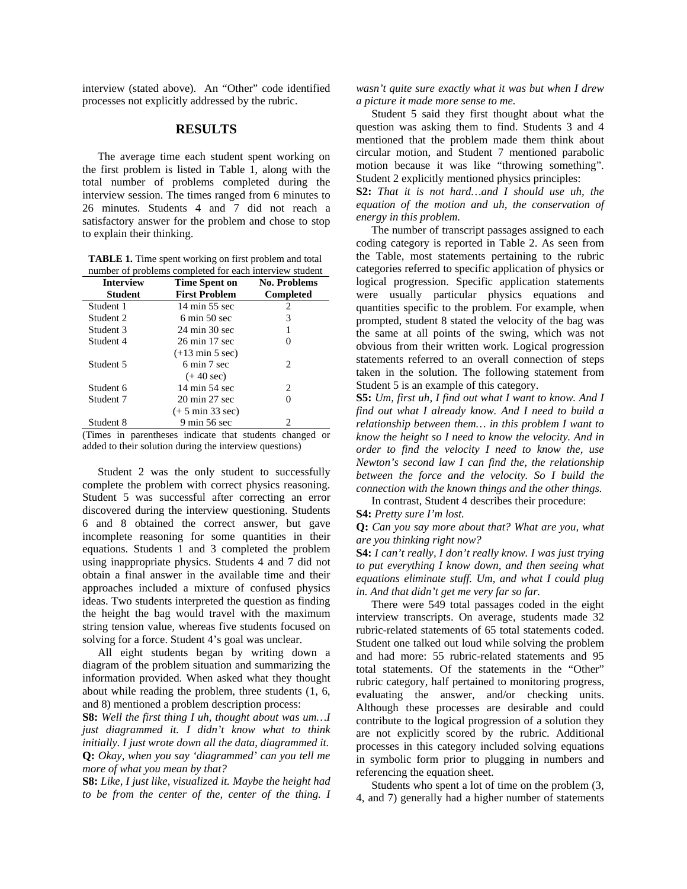interview (stated above). An "Other" code identified processes not explicitly addressed by the rubric.

## **RESULTS**

The average time each student spent working on the first problem is listed in Table 1, along with the total number of problems completed during the interview session. The times ranged from 6 minutes to 26 minutes. Students 4 and 7 did not reach a satisfactory answer for the problem and chose to stop to explain their thinking.

**TABLE 1.** Time spent working on first problem and total number of problems completed for each interview student

| <b>Interview</b> | <b>Time Spent on</b>               | <b>No. Problems</b> |
|------------------|------------------------------------|---------------------|
| <b>Student</b>   | <b>First Problem</b>               | <b>Completed</b>    |
| Student 1        | 14 min 55 sec                      | 2                   |
| Student 2        | $6 \text{ min} 50 \text{ sec}$     | 3                   |
| Student 3        | 24 min 30 sec                      | 1                   |
| Student 4        | 26 min 17 sec                      |                     |
|                  | $(+13 \text{ min } 5 \text{ sec})$ |                     |
| Student 5        | 6 min 7 sec                        | 2.                  |
|                  | $(+ 40 \text{ sec})$               |                     |
| Student 6        | 14 min 54 sec                      | 2                   |
| Student 7        | 20 min 27 sec                      | $\mathbf{\Omega}$   |
|                  | $(+ 5$ min 33 sec)                 |                     |
| Student 8        | 9 min 56 sec                       |                     |

(Times in parentheses indicate that students changed or added to their solution during the interview questions)

Student 2 was the only student to successfully complete the problem with correct physics reasoning. Student 5 was successful after correcting an error discovered during the interview questioning. Students 6 and 8 obtained the correct answer, but gave incomplete reasoning for some quantities in their equations. Students 1 and 3 completed the problem using inappropriate physics. Students 4 and 7 did not obtain a final answer in the available time and their approaches included a mixture of confused physics ideas. Two students interpreted the question as finding the height the bag would travel with the maximum string tension value, whereas five students focused on solving for a force. Student 4's goal was unclear.

All eight students began by writing down a diagram of the problem situation and summarizing the information provided. When asked what they thought about while reading the problem, three students (1, 6, and 8) mentioned a problem description process:

**S8:** *Well the first thing I uh, thought about was um…I just diagrammed it. I didn't know what to think initially. I just wrote down all the data, diagrammed it.*  **Q:** *Okay, when you say 'diagrammed' can you tell me more of what you mean by that?* 

**S8:** *Like, I just like, visualized it. Maybe the height had to be from the center of the, center of the thing. I* 

*wasn't quite sure exactly what it was but when I drew a picture it made more sense to me.* 

Student 5 said they first thought about what the question was asking them to find. Students 3 and 4 mentioned that the problem made them think about circular motion, and Student 7 mentioned parabolic motion because it was like "throwing something". Student 2 explicitly mentioned physics principles:

**S2:** *That it is not hard…and I should use uh, the equation of the motion and uh, the conservation of energy in this problem.*

The number of transcript passages assigned to each coding category is reported in Table 2. As seen from the Table, most statements pertaining to the rubric categories referred to specific application of physics or logical progression. Specific application statements were usually particular physics equations and quantities specific to the problem. For example, when prompted, student 8 stated the velocity of the bag was the same at all points of the swing, which was not obvious from their written work. Logical progression statements referred to an overall connection of steps taken in the solution. The following statement from Student 5 is an example of this category.

**S5:** *Um, first uh, I find out what I want to know. And I find out what I already know. And I need to build a relationship between them… in this problem I want to know the height so I need to know the velocity. And in order to find the velocity I need to know the, use Newton's second law I can find the, the relationship between the force and the velocity. So I build the connection with the known things and the other things.* 

In contrast, Student 4 describes their procedure: **S4:** *Pretty sure I'm lost.* 

**Q:** *Can you say more about that? What are you, what are you thinking right now?* 

**S4:** *I can't really, I don't really know. I was just trying to put everything I know down, and then seeing what equations eliminate stuff. Um, and what I could plug in. And that didn't get me very far so far.*

There were 549 total passages coded in the eight interview transcripts. On average, students made 32 rubric-related statements of 65 total statements coded. Student one talked out loud while solving the problem and had more: 55 rubric-related statements and 95 total statements. Of the statements in the "Other" rubric category, half pertained to monitoring progress, evaluating the answer, and/or checking units. Although these processes are desirable and could contribute to the logical progression of a solution they are not explicitly scored by the rubric. Additional processes in this category included solving equations in symbolic form prior to plugging in numbers and referencing the equation sheet.

Students who spent a lot of time on the problem (3, 4, and 7) generally had a higher number of statements